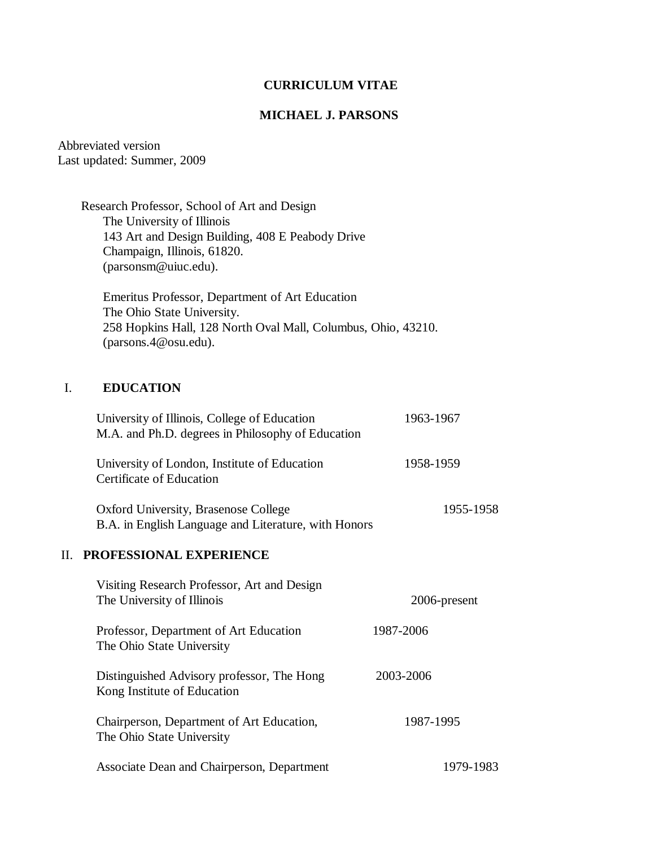# **CURRICULUM VITAE**

### **MICHAEL J. PARSONS**

Abbreviated version Last updated: Summer, 2009

> Research Professor, School of Art and Design The University of Illinois 143 Art and Design Building, 408 E Peabody Drive Champaign, Illinois, 61820. (parsonsm@uiuc.edu).

 Emeritus Professor, Department of Art Education The Ohio State University. 258 Hopkins Hall, 128 North Oval Mall, Columbus, Ohio, 43210. (parsons.4@osu.edu).

# I. **EDUCATION**

| University of Illinois, College of Education<br>M.A. and Ph.D. degrees in Philosophy of Education | 1963-1967    |
|---------------------------------------------------------------------------------------------------|--------------|
| University of London, Institute of Education<br>Certificate of Education                          | 1958-1959    |
| Oxford University, Brasenose College<br>B.A. in English Language and Literature, with Honors      | 1955-1958    |
| PROFESSIONAL EXPERIENCE<br>$\Pi$ .                                                                |              |
| Visiting Research Professor, Art and Design<br>The University of Illinois                         | 2006-present |
| Professor, Department of Art Education<br>The Ohio State University                               | 1987-2006    |
| Distinguished Advisory professor, The Hong<br>Kong Institute of Education                         | 2003-2006    |
| Chairperson, Department of Art Education,<br>The Ohio State University                            | 1987-1995    |
| Associate Dean and Chairperson, Department                                                        | 1979-1983    |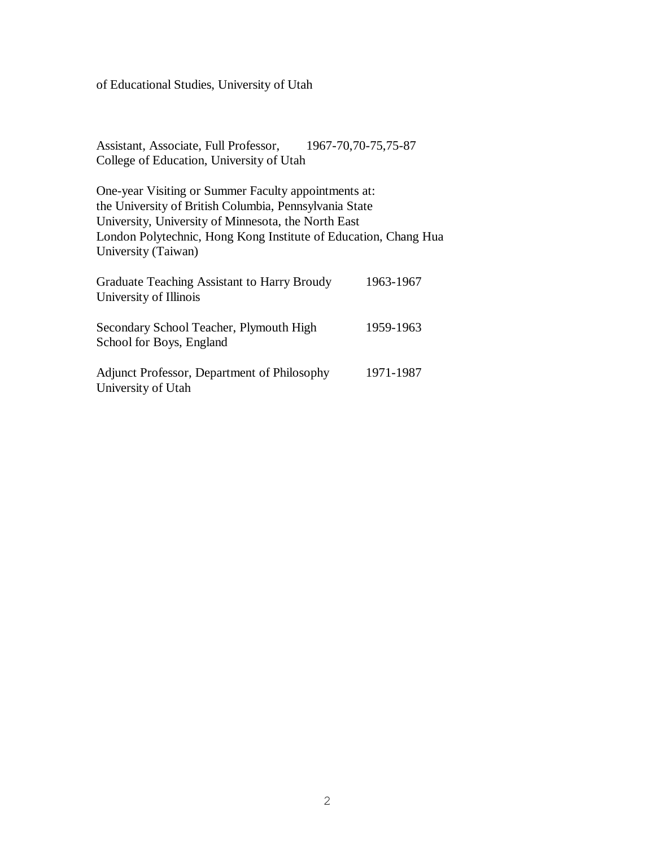of Educational Studies, University of Utah

Assistant, Associate, Full Professor, 1967-70,70-75,75-87 College of Education, University of Utah

One-year Visiting or Summer Faculty appointments at: the University of British Columbia, Pennsylvania State University, University of Minnesota, the North East London Polytechnic, Hong Kong Institute of Education, Chang Hua University (Taiwan)

| Graduate Teaching Assistant to Harry Broudy<br>University of Illinois | 1963-1967 |
|-----------------------------------------------------------------------|-----------|
| Secondary School Teacher, Plymouth High<br>School for Boys, England   | 1959-1963 |
| Adjunct Professor, Department of Philosophy<br>University of Utah     | 1971-1987 |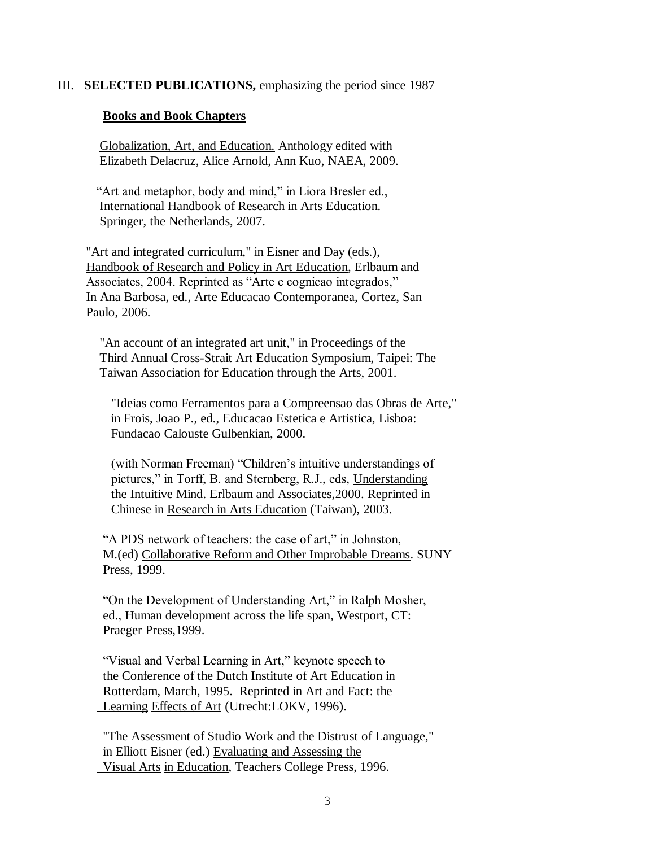### III. **SELECTED PUBLICATIONS,** emphasizing the period since 1987

#### **Books and Book Chapters**

Globalization, Art, and Education. Anthology edited with Elizabeth Delacruz, Alice Arnold, Ann Kuo, NAEA, 2009.

"Art and metaphor, body and mind," in Liora Bresler ed., International Handbook of Research in Arts Education. Springer, the Netherlands, 2007.

 "Art and integrated curriculum," in Eisner and Day (eds.), Handbook of Research and Policy in Art Education, Erlbaum and Associates, 2004. Reprinted as "Arte e cognicao integrados," In Ana Barbosa, ed., Arte Educacao Contemporanea, Cortez, San Paulo, 2006.

"An account of an integrated art unit," in Proceedings of the Third Annual Cross-Strait Art Education Symposium, Taipei: The Taiwan Association for Education through the Arts, 2001.

"Ideias como Ferramentos para a Compreensao das Obras de Arte," in Frois, Joao P., ed., Educacao Estetica e Artistica, Lisboa: Fundacao Calouste Gulbenkian, 2000.

(with Norman Freeman) "Children's intuitive understandings of pictures," in Torff, B. and Sternberg, R.J., eds, Understanding the Intuitive Mind. Erlbaum and Associates,2000. Reprinted in Chinese in Research in Arts Education (Taiwan), 2003.

 "A PDS network of teachers: the case of art," in Johnston, M.(ed) Collaborative Reform and Other Improbable Dreams. SUNY Press, 1999.

 "On the Development of Understanding Art," in Ralph Mosher, ed., Human development across the life span, Westport, CT: Praeger Press,1999.

 "Visual and Verbal Learning in Art," keynote speech to the Conference of the Dutch Institute of Art Education in Rotterdam, March, 1995. Reprinted in Art and Fact: the Learning Effects of Art (Utrecht:LOKV, 1996).

 "The Assessment of Studio Work and the Distrust of Language," in Elliott Eisner (ed.) Evaluating and Assessing the Visual Arts in Education, Teachers College Press, 1996.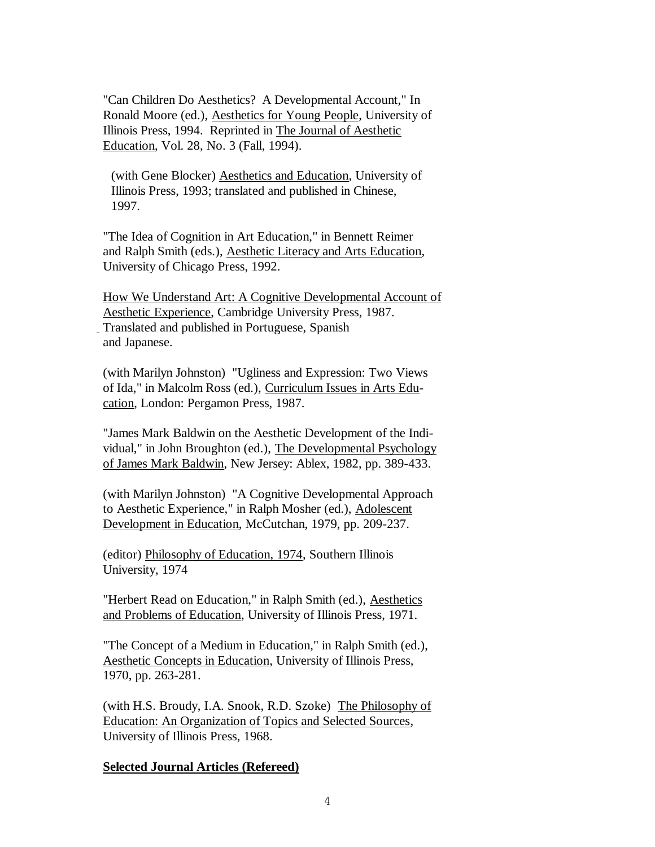"Can Children Do Aesthetics? A Developmental Account," In Ronald Moore (ed.), Aesthetics for Young People, University of Illinois Press, 1994. Reprinted in The Journal of Aesthetic Education, Vol. 28, No. 3 (Fall, 1994).

(with Gene Blocker) Aesthetics and Education, University of Illinois Press, 1993; translated and published in Chinese, 1997.

 "The Idea of Cognition in Art Education," in Bennett Reimer and Ralph Smith (eds.), Aesthetic Literacy and Arts Education, University of Chicago Press, 1992.

 How We Understand Art: A Cognitive Developmental Account of Aesthetic Experience, Cambridge University Press, 1987. Translated and published in Portuguese, Spanish and Japanese.

 (with Marilyn Johnston) "Ugliness and Expression: Two Views of Ida," in Malcolm Ross (ed.), Curriculum Issues in Arts Edu cation, London: Pergamon Press, 1987.

 "James Mark Baldwin on the Aesthetic Development of the Indi vidual," in John Broughton (ed.), The Developmental Psychology of James Mark Baldwin, New Jersey: Ablex, 1982, pp. 389-433.

 (with Marilyn Johnston) "A Cognitive Developmental Approach to Aesthetic Experience," in Ralph Mosher (ed.), Adolescent Development in Education, McCutchan, 1979, pp. 209-237.

 (editor) Philosophy of Education, 1974, Southern Illinois University, 1974

 "Herbert Read on Education," in Ralph Smith (ed.), Aesthetics and Problems of Education, University of Illinois Press, 1971.

 "The Concept of a Medium in Education," in Ralph Smith (ed.), Aesthetic Concepts in Education, University of Illinois Press, 1970, pp. 263-281.

 (with H.S. Broudy, I.A. Snook, R.D. Szoke) The Philosophy of Education: An Organization of Topics and Selected Sources, University of Illinois Press, 1968.

# **Selected Journal Articles (Refereed)**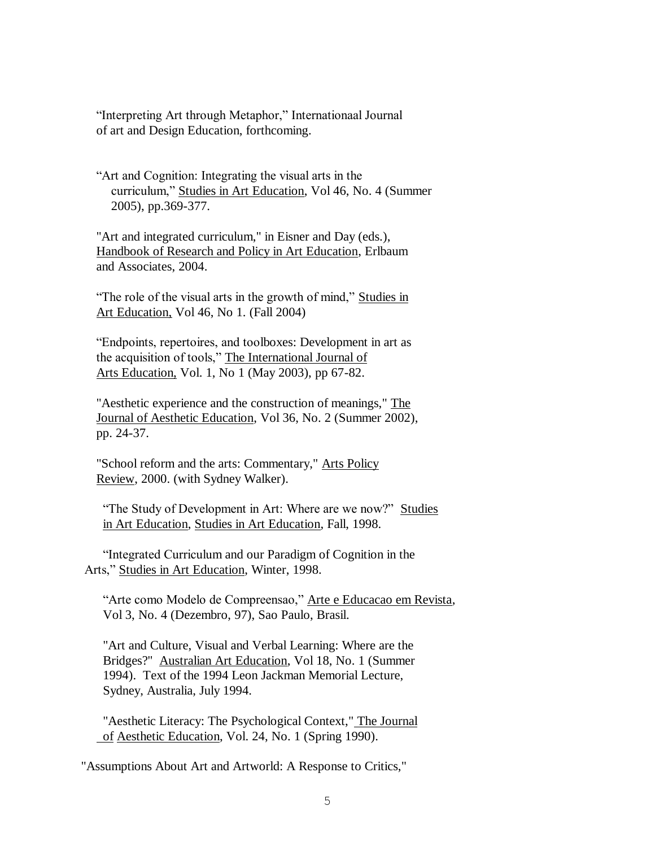"Interpreting Art through Metaphor," Internationaal Journal of art and Design Education, forthcoming.

"Art and Cognition: Integrating the visual arts in the curriculum," Studies in Art Education, Vol 46, No. 4 (Summer 2005), pp.369-377.

"Art and integrated curriculum," in Eisner and Day (eds.), Handbook of Research and Policy in Art Education, Erlbaum and Associates, 2004.

"The role of the visual arts in the growth of mind," Studies in Art Education, Vol 46, No 1. (Fall 2004)

"Endpoints, repertoires, and toolboxes: Development in art as the acquisition of tools," The International Journal of Arts Education, Vol. 1, No 1 (May 2003), pp 67-82.

"Aesthetic experience and the construction of meanings," The Journal of Aesthetic Education, Vol 36, No. 2 (Summer 2002), pp. 24-37.

"School reform and the arts: Commentary," Arts Policy Review, 2000. (with Sydney Walker).

 "The Study of Development in Art: Where are we now?" Studies in Art Education, Studies in Art Education, Fall, 1998.

 "Integrated Curriculum and our Paradigm of Cognition in the Arts," Studies in Art Education, Winter, 1998.

 "Arte como Modelo de Compreensao," Arte e Educacao em Revista, Vol 3, No. 4 (Dezembro, 97), Sao Paulo, Brasil.

 "Art and Culture, Visual and Verbal Learning: Where are the Bridges?" Australian Art Education, Vol 18, No. 1 (Summer 1994). Text of the 1994 Leon Jackman Memorial Lecture, Sydney, Australia, July 1994.

 "Aesthetic Literacy: The Psychological Context," The Journal of Aesthetic Education, Vol. 24, No. 1 (Spring 1990).

"Assumptions About Art and Artworld: A Response to Critics,"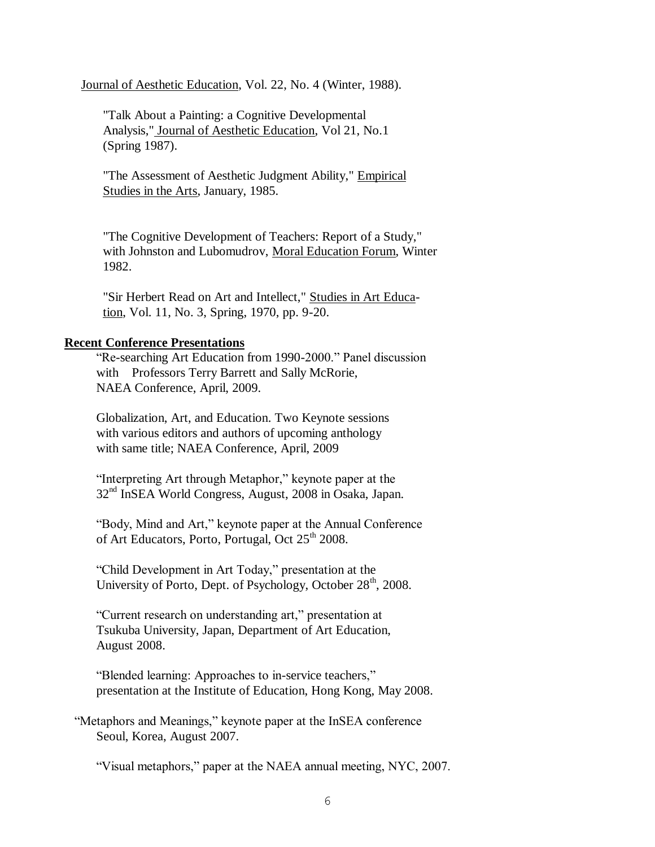Journal of Aesthetic Education, Vol. 22, No. 4 (Winter, 1988).

 "Talk About a Painting: a Cognitive Developmental Analysis," Journal of Aesthetic Education, Vol 21, No.1 (Spring 1987).

 "The Assessment of Aesthetic Judgment Ability," Empirical Studies in the Arts, January, 1985.

 "The Cognitive Development of Teachers: Report of a Study," with Johnston and Lubomudrov, Moral Education Forum, Winter 1982.

 "Sir Herbert Read on Art and Intellect," Studies in Art Educa tion, Vol. 11, No. 3, Spring, 1970, pp. 9-20.

#### **Recent Conference Presentations**

"Re-searching Art Education from 1990-2000." Panel discussion with Professors Terry Barrett and Sally McRorie, NAEA Conference, April, 2009.

Globalization, Art, and Education. Two Keynote sessions with various editors and authors of upcoming anthology with same title; NAEA Conference, April, 2009

"Interpreting Art through Metaphor," keynote paper at the 32nd InSEA World Congress, August, 2008 in Osaka, Japan.

"Body, Mind and Art," keynote paper at the Annual Conference of Art Educators, Porto, Portugal, Oct 25<sup>th</sup> 2008.

"Child Development in Art Today," presentation at the University of Porto, Dept. of Psychology, October  $28<sup>th</sup>$ , 2008.

"Current research on understanding art," presentation at Tsukuba University, Japan, Department of Art Education, August 2008.

"Blended learning: Approaches to in-service teachers," presentation at the Institute of Education, Hong Kong, May 2008.

 "Metaphors and Meanings," keynote paper at the InSEA conference Seoul, Korea, August 2007.

"Visual metaphors," paper at the NAEA annual meeting, NYC, 2007.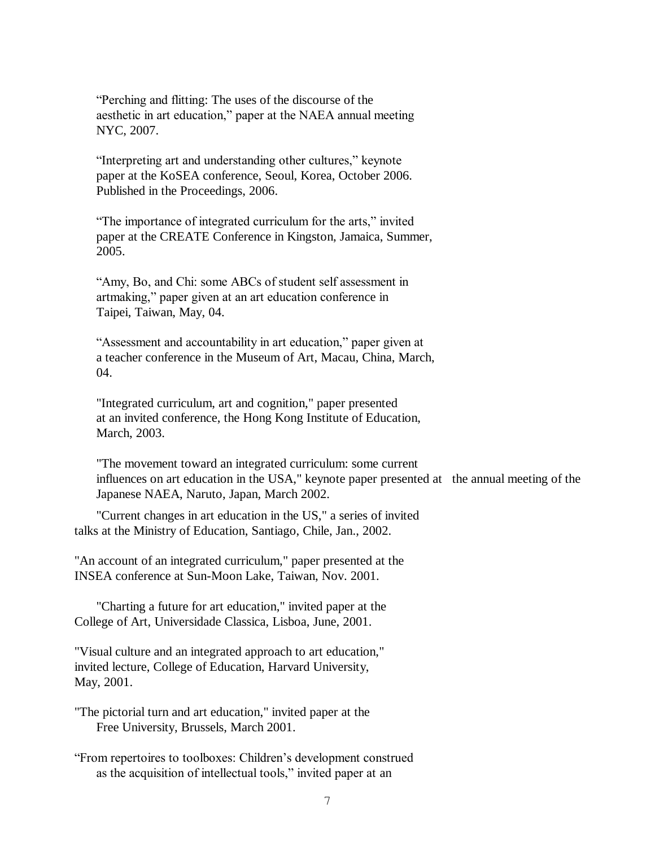"Perching and flitting: The uses of the discourse of the aesthetic in art education," paper at the NAEA annual meeting NYC, 2007.

"Interpreting art and understanding other cultures," keynote paper at the KoSEA conference, Seoul, Korea, October 2006. Published in the Proceedings, 2006.

"The importance of integrated curriculum for the arts," invited paper at the CREATE Conference in Kingston, Jamaica, Summer, 2005.

"Amy, Bo, and Chi: some ABCs of student self assessment in artmaking," paper given at an art education conference in Taipei, Taiwan, May, 04.

"Assessment and accountability in art education," paper given at a teacher conference in the Museum of Art, Macau, China, March, 04.

"Integrated curriculum, art and cognition," paper presented at an invited conference, the Hong Kong Institute of Education, March, 2003.

"The movement toward an integrated curriculum: some current influences on art education in the USA," keynote paper presented at the annual meeting of the Japanese NAEA, Naruto, Japan, March 2002.

"Current changes in art education in the US," a series of invited talks at the Ministry of Education, Santiago, Chile, Jan., 2002.

 "An account of an integrated curriculum," paper presented at the INSEA conference at Sun-Moon Lake, Taiwan, Nov. 2001.

"Charting a future for art education," invited paper at the College of Art, Universidade Classica, Lisboa, June, 2001.

 "Visual culture and an integrated approach to art education," invited lecture, College of Education, Harvard University, May, 2001.

 "The pictorial turn and art education," invited paper at the Free University, Brussels, March 2001.

 "From repertoires to toolboxes: Children's development construed as the acquisition of intellectual tools," invited paper at an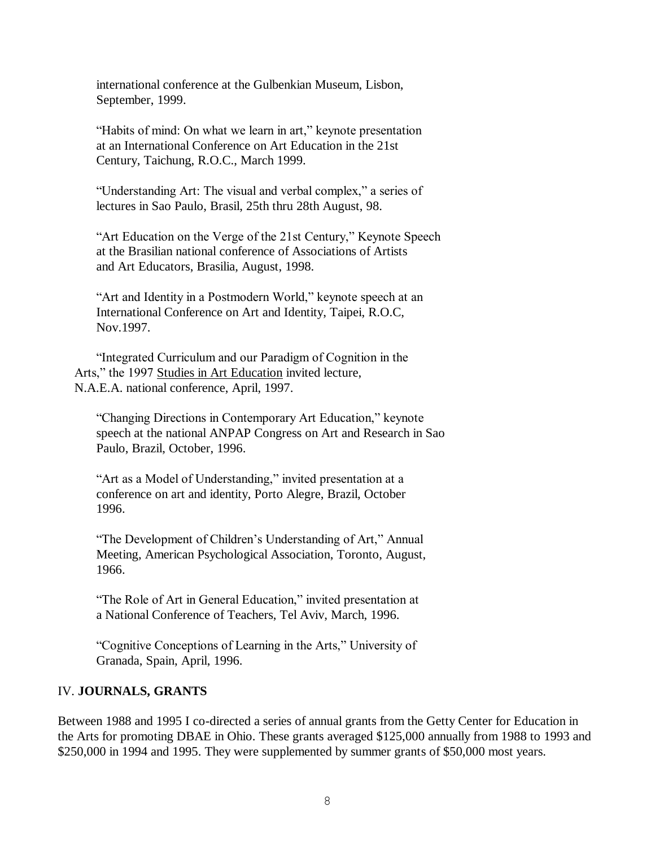international conference at the Gulbenkian Museum, Lisbon, September, 1999.

"Habits of mind: On what we learn in art," keynote presentation at an International Conference on Art Education in the 21st Century, Taichung, R.O.C., March 1999.

"Understanding Art: The visual and verbal complex," a series of lectures in Sao Paulo, Brasil, 25th thru 28th August, 98.

"Art Education on the Verge of the 21st Century," Keynote Speech at the Brasilian national conference of Associations of Artists and Art Educators, Brasilia, August, 1998.

"Art and Identity in a Postmodern World," keynote speech at an International Conference on Art and Identity, Taipei, R.O.C, Nov.1997.

"Integrated Curriculum and our Paradigm of Cognition in the Arts," the 1997 Studies in Art Education invited lecture, N.A.E.A. national conference, April, 1997.

"Changing Directions in Contemporary Art Education," keynote speech at the national ANPAP Congress on Art and Research in Sao Paulo, Brazil, October, 1996.

"Art as a Model of Understanding," invited presentation at a conference on art and identity, Porto Alegre, Brazil, October 1996.

"The Development of Children's Understanding of Art," Annual Meeting, American Psychological Association, Toronto, August, 1966.

"The Role of Art in General Education," invited presentation at a National Conference of Teachers, Tel Aviv, March, 1996.

"Cognitive Conceptions of Learning in the Arts," University of Granada, Spain, April, 1996.

# IV. **JOURNALS, GRANTS**

Between 1988 and 1995 I co-directed a series of annual grants from the Getty Center for Education in the Arts for promoting DBAE in Ohio. These grants averaged \$125,000 annually from 1988 to 1993 and \$250,000 in 1994 and 1995. They were supplemented by summer grants of \$50,000 most years.